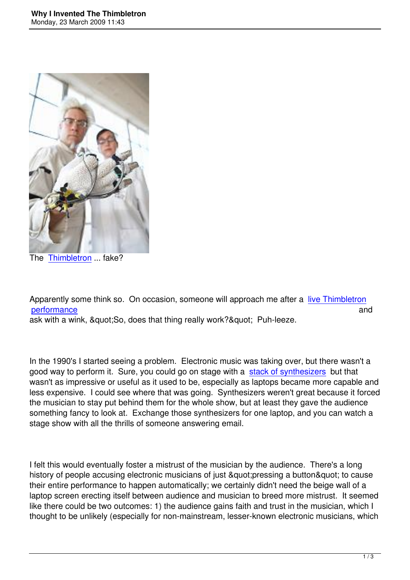

The Thimbletron ... fake?

App[arently some](http://www.youtube.com/watch?v=vAmL-D0Lay0) think so. On occasion, someone will approach me after a live Thimbletron performance and and  $\mathbf{p}$  and  $\mathbf{p}$  and  $\mathbf{p}$  and  $\mathbf{p}$  and  $\mathbf{p}$  and  $\mathbf{p}$  and  $\mathbf{p}$ ask with a wink, & quot; So, does that thing really work? & quot; Puh-leeze.

In the 1990's I started seeing a problem. Electronic music was taking over, but there wasn't a good way to perform it. Sure, you could go on stage with a stack of synthesizers but that wasn't as impressive or useful as it used to be, especially as laptops became more capable and less expensive. I could see where that was going. Synthesizers weren't great because it forced the musician to stay put behind them for the whole show, bu[t at least they gave th](http://www.synthtopia.com/content/2008/11/25/keith-emerson-on-his-new-album/)e audience something fancy to look at. Exchange those synthesizers for one laptop, and you can watch a stage show with all the thrills of someone answering email.

I felt this would eventually foster a mistrust of the musician by the audience. There's a long history of people accusing electronic musicians of just &quot:pressing a button&quot: to cause their entire performance to happen automatically; we certainly didn't need the beige wall of a laptop screen erecting itself between audience and musician to breed more mistrust. It seemed like there could be two outcomes: 1) the audience gains faith and trust in the musician, which I thought to be unlikely (especially for non-mainstream, lesser-known electronic musicians, which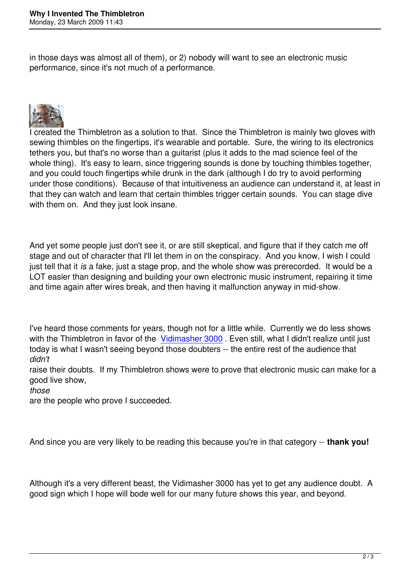in those days was almost all of them), or 2) nobody will want to see an electronic music performance, since it's not much of a performance.



I created the Thimbletron as a solution to that. Since the Thimbletron is mainly two gloves with sewing thimbles on the fingertips, it's wearable and portable. Sure, the wiring to its electronics tethers you, but that's no worse than a guitarist (plus it adds to the mad science feel of the whole thing). It's easy to learn, since triggering sounds is done by touching thimbles together, and you could touch fingertips while drunk in the dark (although I do try to avoid performing under those conditions). Because of that intuitiveness an audience can understand it, at least in that they can watch and learn that certain thimbles trigger certain sounds. You can stage dive with them on. And they just look insane.

And yet some people just don't see it, or are still skeptical, and figure that if they catch me off stage and out of character that I'll let them in on the conspiracy. And you know, I wish I could just tell that it *is* a fake, just a stage prop, and the whole show was prerecorded. It would be a LOT easier than designing and building your own electronic music instrument, repairing it time and time again after wires break, and then having it malfunction anyway in mid-show.

I've heard those comments for years, though not for a little while. Currently we do less shows with the Thimbletron in favor of the Vidimasher 3000. Even still, what I didn't realize until just today is what I wasn't seeing beyond those doubters -- the entire rest of the audience that *didn't*

raise their doubts. If my Thimbletro[n shows were to p](http://www.youtube.com/watch?v=Y7uLuYG62sY)rove that electronic music can make for a good live show,

*those* 

are the people who prove I succeeded.

And since you are very likely to be reading this because you're in that category -- **thank you!**

Although it's a very different beast, the Vidimasher 3000 has yet to get any audience doubt. A good sign which I hope will bode well for our many future shows this year, and beyond.